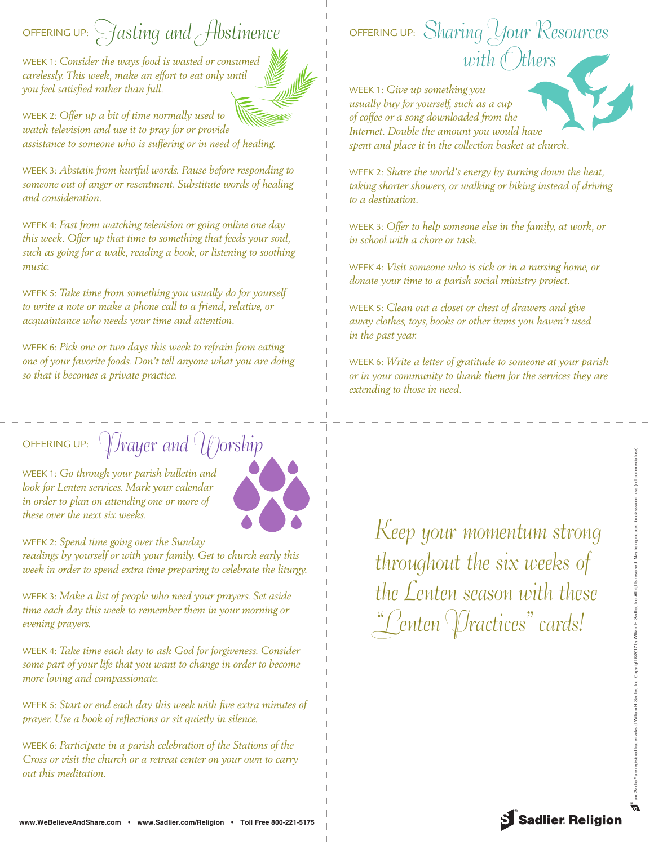## offering up:  $\bigcirc$  fasting and Abstinence

WEEK 1: *Consider the ways food is wasted or consumed carelessly. This week, make an effort to eat only until you feel satisfied rather than full.*

WEEK 2: *Offer up a bit of time normally used to watch television and use it to pray for or provide assistance to someone who is suffering or in need of healing.*

WEEK 3: *Abstain from hurtful words. Pause before responding to someone out of anger or resentment. Substitute words of healing and consideration.*

WEEK 4: *Fast from watching television or going online one day this week. Offer up that time to something that feeds your soul, such as going for a walk, reading a book, or listening to soothing music.*

WEEK 5: *Take time from something you usually do for yourself to write a note or make a phone call to a friend, relative, or acquaintance who needs your time and attention.*

WEEK 6: *Pick one or two days this week to refrain from eating one of your favorite foods. Don't tell anyone what you are doing so that it becomes a private practice.*

## OFFERING UP:  $\int$   $\int$ rayer and  $\int$   $\int$ orship

WEEK 1: *Go through your parish bulletin and look for Lenten services. Mark your calendar in order to plan on attending one or more of these over the next six weeks.*



WEEK 2: *Spend time going over the Sunday readings by yourself or with your family. Get to church early this week in order to spend extra time preparing to celebrate the liturgy.*

WEEK 3: *Make a list of people who need your prayers. Set aside time each day this week to remember them in your morning or evening prayers.*

WEEK 4: *Take time each day to ask God for forgiveness. Consider some part of your life that you want to change in order to become more loving and compassionate.*

WEEK 5: *Start or end each day this week with five extra minutes of prayer. Use a book of reflections or sit quietly in silence.*

WEEK 6: *Participate in a parish celebration of the Stations of the Cross or visit the church or a retreat center on your own to carry out this meditation.*

## OFFERING UP: Sharing Your Resources with  $\epsilon$  thers

WEEK 1: *Give up something you usually buy for yourself, such as a cup of coffee or a song downloaded from the Internet. Double the amount you would have spent and place it in the collection basket at church.*



WEEK 2: *Share the world's energy by turning down the heat, taking shorter showers, or walking or biking instead of driving to a destination.*

WEEK 3: *Offer to help someone else in the family, at work, or in school with a chore or task.*

WEEK 4: *Visit someone who is sick or in a nursing home, or donate your time to a parish social ministry project.*

WEEK 5: *Clean out a closet or chest of drawers and give away clothes, toys, books or other items you haven't used in the past year.*

WEEK 6: *Write a letter of gratitude to someone at your parish or in your community to thank them for the services they are extending to those in need.*

Keep your momentum strong throughout the six weeks of the Lenten season with these "Lenten (Dractices" cards!

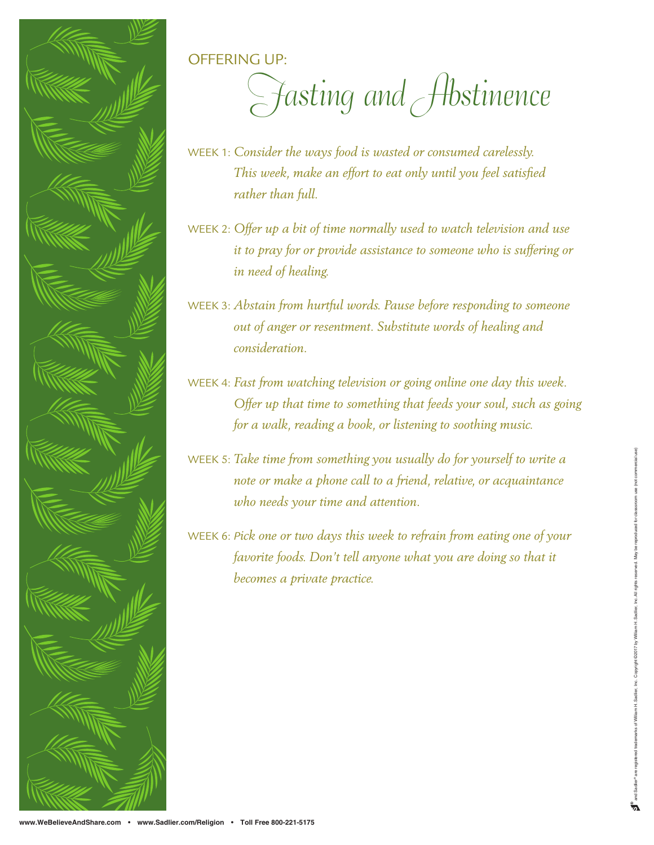

OFFERING UP:

Fasting and Abstinence

- WEEK 1: *Consider the ways food is wasted or consumed carelessly. This week, make an effort to eat only until you feel satisfied rather than full.*
- WEEK 2: *Offer up a bit of time normally used to watch television and use it to pray for or provide assistance to someone who is suffering or in need of healing.*

WEEK 3: *Abstain from hurtful words. Pause before responding to someone out of anger or resentment. Substitute words of healing and consideration.*

- WEEK 4: *Fast from watching television or going online one day this week. Offer up that time to something that feeds your soul, such as going for a walk, reading a book, or listening to soothing music.*
- WEEK 5: *Take time from something you usually do for yourself to write a note or make a phone call to a friend, relative, or acquaintance who needs your time and attention.*
- WEEK 6: *Pick one or two days this week to refrain from eating one of your*  favorite foods. Don't tell anyone what you are doing so that it *becomes a private practice.*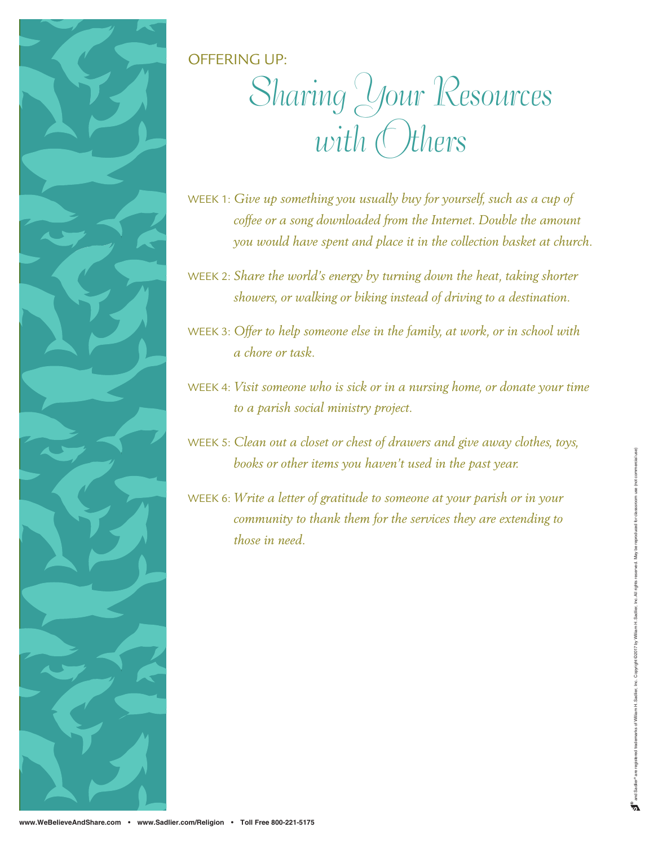

OFFERING UP:

## Sharing Your Resources with Others

WEEK 1: *Give up something you usually buy for yourself, such as a cup of coffee or a song downloaded from the Internet. Double the amount you would have spent and place it in the collection basket at church.*

WEEK 2: *Share the world's energy by turning down the heat, taking shorter showers, or walking or biking instead of driving to a destination.*

WEEK 3: *Offer to help someone else in the family, at work, or in school with a chore or task.*

WEEK 4: *Visit someone who is sick or in a nursing home, or donate your time to a parish social ministry project.*

WEEK 5: *Clean out a closet or chest of drawers and give away clothes, toys, books or other items you haven't used in the past year.*

WEEK 6: *Write a letter of gratitude to someone at your parish or in your community to thank them for the services they are extending to those in need.*